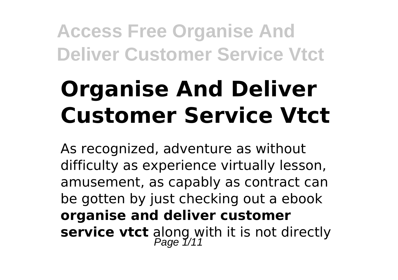# **Organise And Deliver Customer Service Vtct**

As recognized, adventure as without difficulty as experience virtually lesson, amusement, as capably as contract can be gotten by just checking out a ebook **organise and deliver customer service vtct** along with it is not directly<br>Page 1/11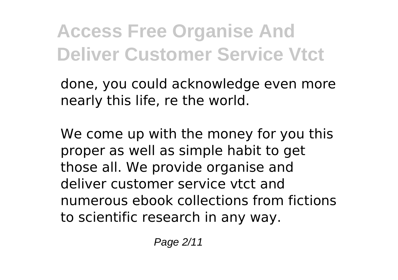done, you could acknowledge even more nearly this life, re the world.

We come up with the money for you this proper as well as simple habit to get those all. We provide organise and deliver customer service vtct and numerous ebook collections from fictions to scientific research in any way.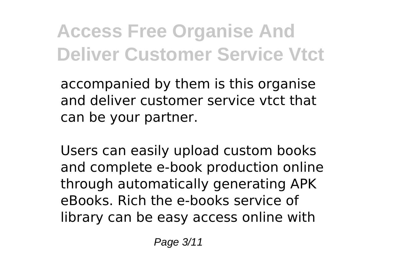accompanied by them is this organise and deliver customer service vtct that can be your partner.

Users can easily upload custom books and complete e-book production online through automatically generating APK eBooks. Rich the e-books service of library can be easy access online with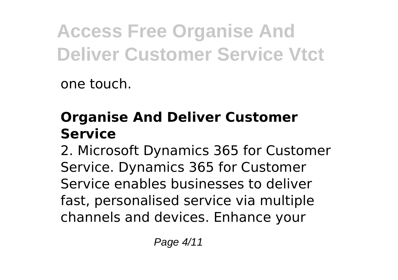one touch.

### **Organise And Deliver Customer Service**

2. Microsoft Dynamics 365 for Customer Service. Dynamics 365 for Customer Service enables businesses to deliver fast, personalised service via multiple channels and devices. Enhance your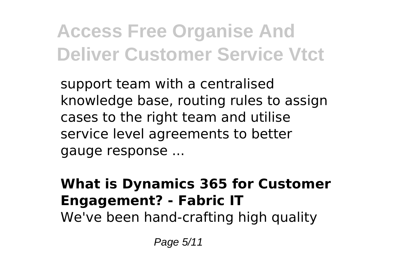support team with a centralised knowledge base, routing rules to assign cases to the right team and utilise service level agreements to better gauge response ...

**What is Dynamics 365 for Customer Engagement? - Fabric IT** We've been hand-crafting high quality

Page 5/11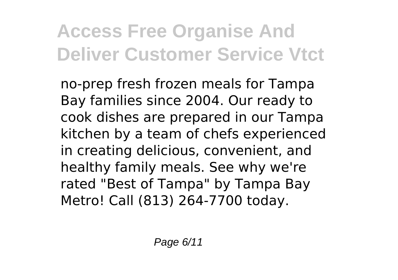no-prep fresh frozen meals for Tampa Bay families since 2004. Our ready to cook dishes are prepared in our Tampa kitchen by a team of chefs experienced in creating delicious, convenient, and healthy family meals. See why we're rated "Best of Tampa" by Tampa Bay Metro! Call (813) 264-7700 today.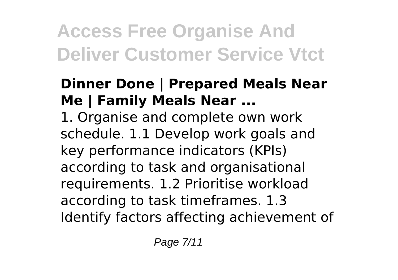#### **Dinner Done | Prepared Meals Near Me | Family Meals Near ...**

1. Organise and complete own work schedule. 1.1 Develop work goals and key performance indicators (KPIs) according to task and organisational requirements. 1.2 Prioritise workload according to task timeframes. 1.3 Identify factors affecting achievement of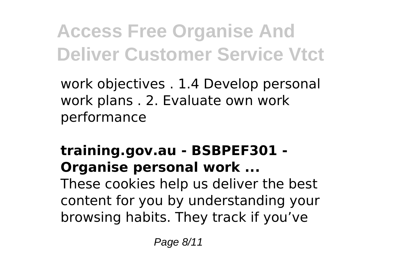work objectives . 1.4 Develop personal work plans . 2. Evaluate own work performance

#### **training.gov.au - BSBPEF301 - Organise personal work ...**

These cookies help us deliver the best content for you by understanding your browsing habits. They track if you've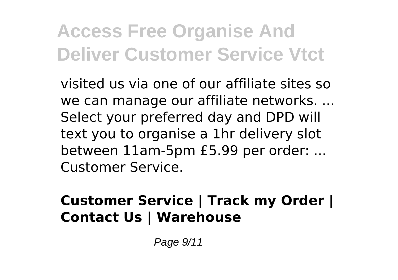visited us via one of our affiliate sites so we can manage our affiliate networks. ... Select your preferred day and DPD will text you to organise a 1hr delivery slot between 11am-5pm £5.99 per order: ... Customer Service.

#### **Customer Service | Track my Order | Contact Us | Warehouse**

Page 9/11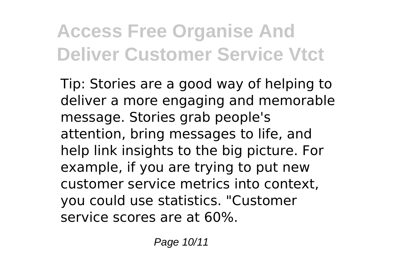Tip: Stories are a good way of helping to deliver a more engaging and memorable message. Stories grab people's attention, bring messages to life, and help link insights to the big picture. For example, if you are trying to put new customer service metrics into context, you could use statistics. "Customer service scores are at 60%.